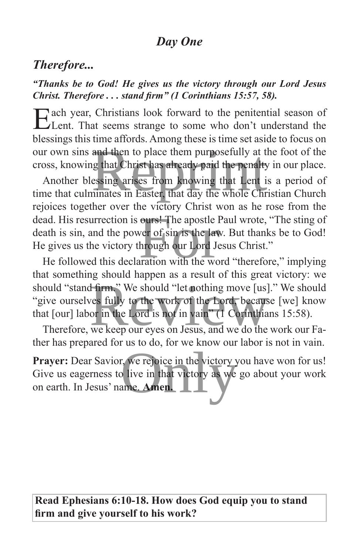## *Day One*

## *Therefore...*

#### *"Thanks be to God! He gives us the victory through our Lord Jesus Christ. Therefore . . . stand firm" (1 Corinthians 15:57, 58).*

Each year, Christians look forward to the penitential season of Lent. That seems strange to some who don't understand the blessings this time affords. Among these is time set aside to focus on our own sins and then to place them purposefully at the foot of the cross, knowing that Christ has already paid the penalty in our place.

Another blessing arises from knowing that Lent is a period of time that culminates in Easter, that day the whole Christian Church rejoices together over the victory Christ won as he rose from the dead. His resurrection is ours! The apostle Paul wrote, "The sting of death is sin, and the power of sin is the law. But thanks be to God! He gives us the victory through our Lord Jesus Christ." and then to place them purposefully at the 1<br>ig that Christ has already paid the penalty in<br>essing arises from knowing that Lent is a<br>ninates in Easter, that day the whole Christi ours! The apostle Pau<br>ver of sin is the law. B<br>hrough our Lord Jesus<br>iration with the word

He followed this declaration with the word "therefore," implying that something should happen as a result of this great victory: we should "stand firm." We should "let nothing move [us]." We should "give ourselves fully to the work of the Lord, because [we] know that [our] labor in the Lord is not in vain" (1 Corinthians 15:58). Firm," We should "let nothing move [us]." You should "let nothing move [us]." You should "let nothing move [us]." You should be a control of the Lord, because [vor in the Lord is not in vain" (1) Corinthians

Therefore, we keep our eyes on Jesus, and we do the work our Father has prepared for us to do, for we know our labor is not in vain.

**Prayer:** Dear Savior, we rejoice in the victory you have won for us! Give us eagerness to live in that victory as we go about your work on earth. In Jesus' name. **Amen.** r, we rejoice in the victory you<br>o live in that victory as we go<br>ame. Amen.

**Read Ephesians 6:10-18. How does God equip you to stand firm and give yourself to his work?**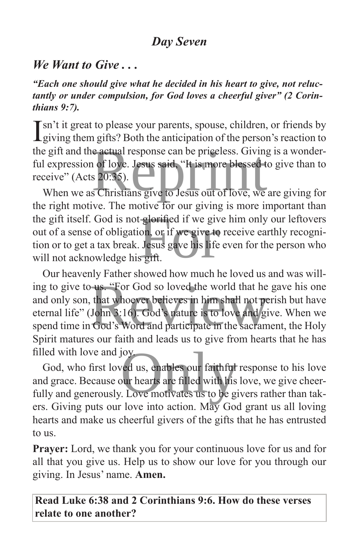### *Day Seven*

#### *We Want to Give . . .*

*"Each one should give what he decided in his heart to give, not reluctantly or under compulsion, for God loves a cheerful giver" (2 Corinthians 9:7).*

Isn't it great to please your parents, spouse, children, or friends by giving them gifts? Both the anticipation of the person's reaction to  $\mathbf 1$  giving them gifts? Both the anticipation of the person's reaction to the gift and the actual response can be priceless. Giving is a wonderful expression of love. Jesus said, "It is more blessed to give than to receive" (Acts 20:35). Expression of love. Jesus said, "It is more blessed to give than to ceive" (Acts 20:35).<br>When we as Christians give to Jesus out of love, we are giving for

the right motive. The motive for our giving is more important than the gift itself. God is not glorified if we give him only our leftovers out of a sense of obligation, or if we give to receive earthly recognition or to get a tax break. Jesus gave his life even for the person who will not out of a sense of obligation, or if we give to receive earthly recognition or to get a tax break. Jesus gave his life even for the person who will not acknowledge his gift.

Our heavenly Father showed how much he loved us and was willing to give to us. "For God so loved the world that he gave his one and only son, that whoever believes in him shall not perish but have eternal life" (John 3:16). God's nature is to love and give. When we spend time in Go and only son, that whoever believes in him shall not perish but have eternal life" (John 3:16). God's nature is to love and give. When we spend time in God's Word and participate in the sacrament, the Holy Spirit matures our faith and leads us to give from hearts that he has filled with love and joy.

God, who first loved us, enables our faithful response to his love and grace. Because our hearts are filled with his love, we give cheerfully and generously. Love motivates us to be givers rather than takers. Giving puts our love into action. May God grant us all loving hearts and make us cheerful givers of the gifts that he has entrusted to us. oy<br>Jed us, enables our faithful res<br>Jur hearts are filled with his lov<br>Love motivates us to be giver

**Prayer:** Lord, we thank you for your continuous love for us and for all that you give us. Help us to show our love for you through our giving. In Jesus' name. **Amen.**

#### **Read Luke 6:38 and 2 Corinthians 9:6. How do these verses relate to one another?**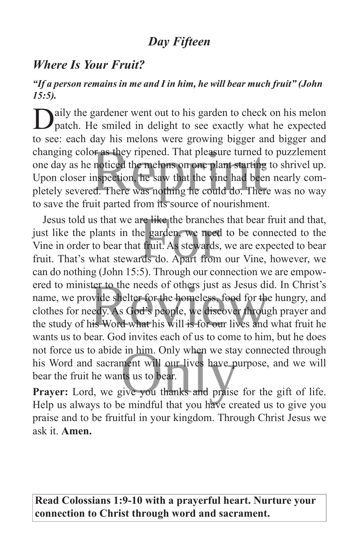# *Day Fifteen*

## *Where Is Your Fruit?*

#### *"If a person remains in me and I in him, he will bear much fruit" (John 15:5).*

aily the gardener went out to his garden to check on his melon patch. He smiled in delight to see exactly what he expected to see: each day his melons were growing bigger and bigger and changing color as they ripened. That pleasure turned to puzzlement one day as he noticed the melons on one plant starting to shrivel up. Upon closer inspection, he saw that the vine had been nearly completely severed. There was nothing he could do. There was no way to save the fruit parted from its source of nourishment. by ripened. That pleasure turned to p<br>noticed the melons on one plant starting to s<br>nspection, he saw that the vine had been ne<br>d. There was nothing he could do. There w

Jesus told us that we are like the branches that bear fruit and that, just like the plants in the garden, we need to be connected to the Vine in order to bear that fruit. As stewards, we are expected to bear fruit. That's what stewards do. Apart from our Vine, however, we can do nothing (John 15:5). Through our connection we are empowered to minister to the needs of others just as Jesus did. In Christ's name, we provide shelter for the homeless, food for the hungry, and clothes for needy. As God's people, we discover through prayer and the study of his Word what his will is for our lives and what fruit he wants us to bear. God invites each of us to come to him, but he does not force us to abide in him. Only when we stay connected through his Word and sacrament will our lives have purpose, and we will bear the fruit he wants us to bear. re like the branches the<br>le garden, we need to<br>t fruit. As stewards, we<br>rds do. Apart from ou ter to the needs of others just as Jesus did. I<br>vide shelter for the homeless, food for the huedy.<br>As God's people, we discover through p<br>is Word what his will is for our lives and wh I in him. Only when we stay coment will our lives have purp<br>ts us to bear.<br>Rive you thanks and praise for

Prayer: Lord, we give you thanks and praise for the gift of life. Help us always to be mindful that you have created us to give you praise and to be fruitful in your kingdom. Through Christ Jesus we ask it. **Amen.**

**Read Colossians 1:9-10 with a prayerful heart. Nurture your connection to Christ through word and sacrament.**